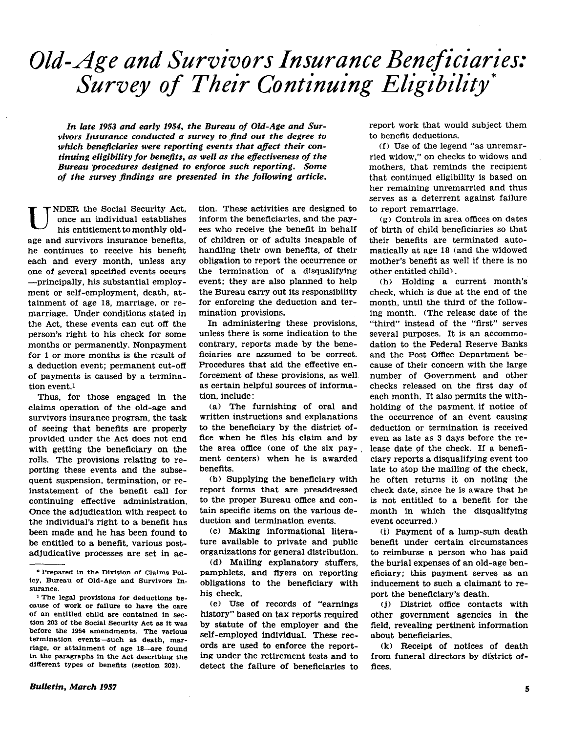# Old-Age and Survivors Insurance Beneficiaries: Survey of Their Continuing Eligibility

In late 1953 and early 1954, the Bureau of Old-Age and Survivors Insurance conducted a survey to find out the degree to which beneficiaries were reporting events that affect their continuing eligibility for benefits, as well as the eflectiveness of the Bureau procedures designed to enforce such reporting. Some of the survey fmdings are presented in the following article.

NDER the Social Security Act,<br>once an individual establishes<br>his entitlement to monthly oldonce an individual establishe his entitlement to monthly oldage and survivors insurance benefits, he continues to receive his benefit each and every month, unless any one of several specified events occurs -principally, his substantial employment or self-employment, death, attainment of age 18, marriage, or remarriage. Under conditions stated in the Act, these events can cut off the person's right to his check for some months or permanently. Nonpayment for 1 or more months is the result of a deduction event; permanent cut-off of payments is caused by a termination event.1

Thus, for those engaged in the claims operation of the old-age and survivors insurance program, the task of seeing that benefits are properly provided under the Act does not end with getting the beneficiary on the rolls. The provisions relating to reporting these events and the subsequent suspension, termination, or reinstatement of the benefit call for continuing effective administration. Once the adjudication with respect to the individual's right to a beneflt has been made and he has been found to be entitled to a benefit, various postadjudicative processes are set in action. These activities are designed to inform the beneficiaries, and the payees who receive the benefit in behalf of children or of adults incapable of handling their own benefits, of their obligation to report the occurrence or the termination of a disqualifying event; they are also planned to help the Bureau carry out its responsibility for enforcing the deduction and termination provisions.

In administering these provisions, unless there is some indication to the contrary, reports made by the beneficiaries. are assumed to be correct. Procedures that aid the effective enforcement of these provisions, as well as certain helpful sources of information, include :

(a) The furnishing of oral and written instructions and explanations to the beneficiary by the district office when he files his claim and by the area office (one of the six payment centers) when he is awarded benefits.

(b) Supplying the beneficiary with report forms that are preaddressed to the proper Bureau office and contain specific items on the various deduction and termination events.

(c) Making informational literature available to private and public organizations for general distribution.

(d) Mailing explanatory stuffers, pamphlets, and flyers on reporting obligations to the beneficiary with his check.

(e) Use of records of "earnings history" based on tax reports required by statute of the employer and the self-employed individual. These records are used to enforce the reporting under the retirement tests and to detect the failure of beneficiaries to report work that would subject them to benefit deductions.

(f) Use of the legend "as unremarried widow," on checks to widows and mothers, that reminds the recipient that continued eligibility is based on her remaining unremarried and thus serves as a deterrent against failure to report remarriage.

(g) Controls in area offices on dates of birth of child beneficiaries so that their benefits are terminated automatically at age 18 (and the widowed mother's benefit as well if there is no other entitled child).

(h) Holding a current month's check, which is due at the end of the month, until the third of the following month. (The release date of the "third" instead of the "first" serves several purposes. It is an accommodation to the Federal Reserve Banks and the Post Office Department because of their concern with the large number of Government and other checks released on the first day of each month. It also permits the withholding of the payment. if notice of the occurrence of an event causing deduction or termination is received even as late as 3 days before the release date of the check. If a beneficiary reports a disqualifying event too late to stop the mailing of the check, he often returns it on noting the check date, since he is aware that he is not entitled to a benefit for the month in which the disqualifying event occurred.)

(i) Payment of a lump-sum death benefit under certain circumstances to reimburse a person who has paid the burial expenses of an old-age beneficiary; this payment serves as an inducement to such a claimant to report the beneficiary's death.

cjl District office contacts with other government agencies in the field, revealing pertinent information about beneficiaries.

(k) Receipt of notices of death from funeral directors by district offices.

<sup>\*</sup> Prepared in the Dlvislon of Claims Pol-ICY, Bureau of Old-Age and Survivors Insurance.

<sup>1</sup> The legal provisions for deductions because of work or failure to have the care of an entitled child are contained in section 203 of the Social Security Act as it was before the 1954 amendments. The various termination events-such as death, marriage. or attainment of age 18-are found in the paragraphs in the Act describing the different types of benefits (section 202).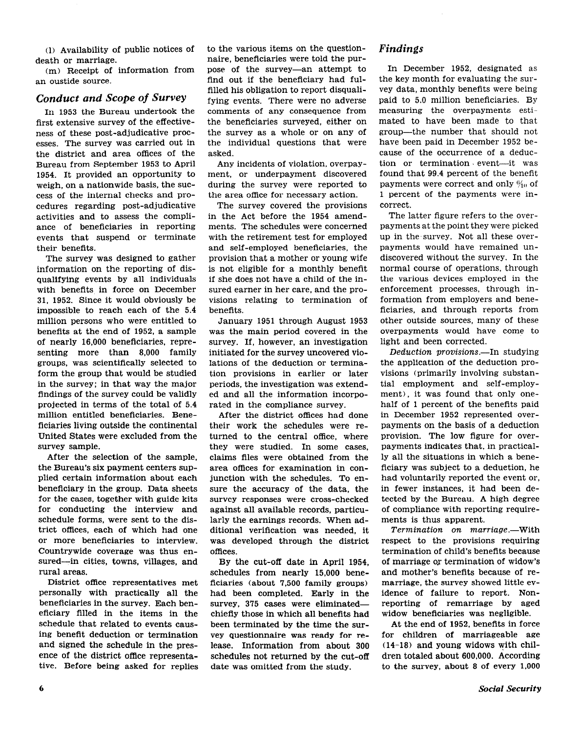(1) Availability of public notices Of death or marriage.

(m) Receipt of information from an oustide source.

#### Conduct and Scope of Survey

In 1953 the Bureau undertook the first extensive survey of the effectiveness of these post-adjudicative processes. The survey was carried out in the district and area offices of the Bureau from September 1953 to April 1954. It provided an opportunity to weigh, on a nationwide basis, the success of the internal checks and procedures regarding post-adjudicative activities and to assess the compliance of beneficiaries in reporting events that suspend or terminate their benefits.

The survey was designed to gather information on the reporting of disqualifying events by all individuals with benefits in force on December 31, 1952. Since it would obviously be impossible to reach each of the 5.4 million persons who were entitled to benefits at the end of 1952, a sample of nearly 16,000 beneficiaries, representing more than 8,000 family groups, was scientifically selected to form the group that would be studied in the survey; in that way the major findings of the survey could be validly projected in terms of the total of 5.4 million entitled beneficiaries. Beneficiaries living outside the continental United States were excluded from the survey sample.

After the selection of the sample, the Bureau's six payment centers supplied certain information about each beneficiary in the group. Data sheets for the cases, together with guide kits for conducting the interview and schedule forms, were sent to the district offices, each of which had one or more beneficiaries to interview. Countrywide coverage was thus ensured-in cities, towns, villages, and rural areas.

District office representatives met personally with practically all the beneficiaries in the survey. Each beneficiary filled in the items in the schedule that related to events causing benefit deduction or termination and signed the schedule in the presence of the district office representative. Before being asked for replies to the various items on the questionnaire, beneficiaries were told the purpose of the survey-an attempt to find out if the beneficiary had fulfilled his obligation to report disqualifying events. There were no adverse comments of any consequence from the beneficiaries surveyed, either on the survey as a whole or on any of the individual questions that were asked.

Any incidents of violation, overpayment, or underpayment discovered during the survey were reported to the area office for necessary action.

The survey covered the provisions in the Act before the 1954 amendments. The schedules were concerned with the retirement test for employed and self-employed beneficiaries, the provision that a mother or young wife is not eligible for a monthly benefit if she does not have a child of the insured earner in her care, and the provisions relating to termination of benefits.

January 1951 through August 1953 was the main period covered in the survey. If, however, an investigation initiated for the survey uncovered violations of the deduction or termination provisions in earlier or later periods, the investigation was extended and all the information incorporated in the compliance survey.

After the district offices had done their work the schedules were returned to the central office, where they were studied. In some cases, claims files were obtained from the area offices for examination in conjunction with the schedules. To ensure the accuracy of the data, the survey responses were cross-checked against all available records, particularly the earnings records. When additional verification was needed, it was developed through the district offices.

By the cut-off date in April 1954, schedules from nearly 15,000 beneficiaries (about 7,500 family groups) had been completed. Early in the survey, 375 cases were eliminatedchiefly those in which all benefits had been terminated by the time the survey questionnaire was ready for release. Information from about 300 schedules not returned by the cut-off date was omitted from the study.

#### Findings

In December 1952, designated as the key month for evaluating the survey data, monthly benefits were being paid to 5.0 million beneficiaries. By measuring the overpayments estimated to have been made to that group-the number that should not have been paid in December 1952 because of the occurrence of a deduction or termination event-it was found that 99.4 percent of the benefit payments were correct and only  $\frac{6}{10}$  of 1 percent of the payments were incorrect.

The latter figure refers to the overpayments at the point they were picked up in the-survey. Not all these overpayments would have remained undiscovered without the survey. In the normal course of operations, through the various devices employed in the enforcement processes, through information from employers and beneficiaries, and through reports from other outside sources, many of these overpayments would have come to light and been corrected.

Deduction provisions.--In studying the application of the deduction provisions (primarily involving substantial employment and self-employment), it was found that only onehalf of 1 percent of the benefits paid in December 1952 represented overpayments on the basis of a deduction provision. The low figure for overpayments indicates that, in practically all the situations in which a beneficiary was subject to a deduction, he had voluntarily reported the event or, in fewer instances, it had been detected by the Bureau. A high degree of compliance with reporting requirements is thus apparent.

Termination on marriage.-With respect to the provisions requiring termination of child's benefits because of marriage or termination of widow's and mother's beneflts because of remarriage, the survey showed little evidence of failure to report. Nonreporting of remarriage by aged widow beneficiaries was negligible.

At the end of 1952. benefits in force for children of marriageable age (14-18) and young widows with children totaled about 600,000. According to the survey, about 8 of every 1,000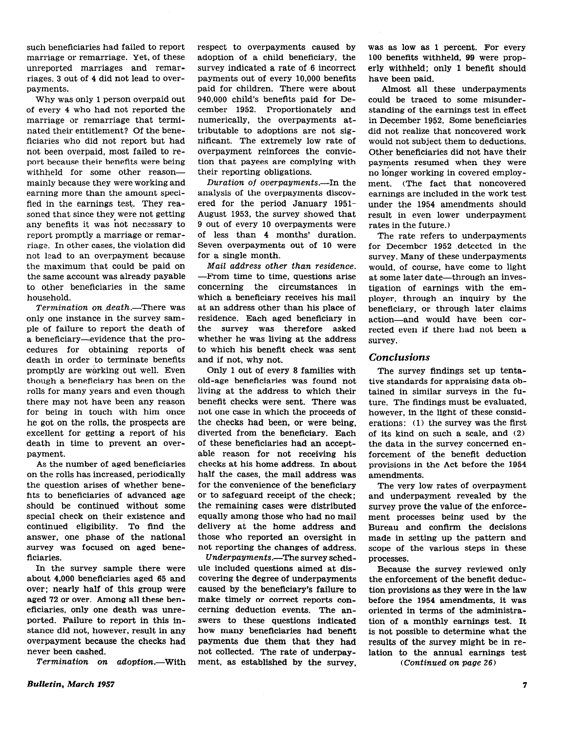such beneficiaries had failed to report marriage or remarriage. Yet, of these unreported marriages and remarriages, 3 out of 4 did not lead to overpayments.

Why was only 1 person overpaid out of every 4 who had not reported the marriage or remarriage that terminated their entitlement? Of the beneficiaries who did not report but had not been overpaid, most failed to report because their benefits were being withheld for some other reasonmainly because they were working and earning more than the amount specified in the earnings test. They reasoned that since they were not getting any benefits it was not necessary to report promptly a marriage or remarriage. In other cases, the violation did not lead to an overpayment because the maximum that could be paid on the same account was already payable to other beneficiaries in the same household.

Termination on death.-There was only one instance in the survey sample of failure to report the death of a beneficiary-evidence that the procedures for obtaining reports of death in order to terminate benefits promptly are working out well. Even though a beneficiary has been on the rolls for many years and even though there may not have been any reason for being in touch with him once he got on the rolls, the prospects are excellent for getting a report of his death in time to prevent an overpayment.

As the number of aged beneficiaries on the rolls has increased, periodically the question arises of whether benefits to beneficiaries of advanced age should be continued without some special check on their existence and continued eligibility. To find the answer, one phase of the national survey was focused on aged beneficiaries.

In the survey sample there were about 4,000 beneficiaries aged 65 and over: nearly half of this group were aged 72 or over. Among all these beneficiaries, only one death was unreported. Failure to report in this instance did not, however, result in any overpayment because the checks had never been cashed.

Termination on adoption.--With

respect to overpayments caused by adoption of a child beneficiary, the survey indicated a rate of 6 incorrect payments out of every 10,000 benefits paid for children. There were about 940,000 child's benefits paid for December 1952. Proportionately and numerically, the overpayments attributable to adoptions are not significant. The extremely low rate of overpayment reinforces the conviction that payees are complying with their reporting obligations.

Duration of overpayments.--In the analysis of the overpayments discovered for the period January 1951- August 1953, the survey showed that 9 out of every 10 overpayments were of less than 4 months' duration. Seven overpayments out of 10 were for a single month.

Mail address other than residence. -From time to time, questions arise concerning the circumstances in which a beneficiary receives his mail at an address other than his place of residence. Each aged beneficiary in the survey was therefore asked whether he was living at the address to which his benefit check was sent and if not, why not.

Only 1 out of every 8 families with old-age beneficiaries was found not living at the address to which their benefit checks were sent. There was not one case in which the proceeds of the checks had been, or were being, diverted from the beneficiary. Each of these beneficiaries had an acceptable reason for not receiving his checks at his home address. In about half the cases, the mail address was for the convenience of the beneficiary or to safeguard receipt of the check; the remaining cases were distributed equally among those who had no mail delivery at the home address and those who reported an oversight in not reporting the changes of address.

Underpayments.-The survey schedule included questions aimed at discovering the degree of underpayments caused by the beneficiary's failure to make timely or correct reports concerning deduction events. The answers to these questions indicated how many beneficiaries had beneflt Payments due them that they had not collected. The rate of underpayment, as established by the survey,

was as low as 1 percent. For every 100 benefits withheld, 99 were properly withheld; only 1 benefit should have been paid.

Almost all these underpayments could be traced to some misunderstanding of the earnings test in effect in December 1952. Some beneficiaries did not realize that noncovered work would not subject them to deductions. Other beneficiaries did not have their payments resumed when they were no longer working in covered employment. (The fact that noncovered earnings are included in the work test under the 1954 amendments should result in even lower underpayment rates in the future.)

The rate refers to underpayments for December 1952 .detected in the survey. Many of these underpayments would, of course, have come to light at some later date—through an investigation of earnings with the employer, through an inquiry by the beneficiary, or through later claims action-and would have been corrected even if there had not been a survey.

### **Conclusions**

The survey findings set up tentative standards for appraising data obtained in similar surveys in the future. The findings must be evaluated, however, in the light of these considerations: (1) the survey was the first of its kind on such a scale, and (21 the data in the survey concerned enforcement of the benefit deduction provisions in the Act before the 1954 amendments.

The very low rates of overpayment and underpayment revealed by the survey prove the value of the enforcement processes being used by the Bureau and confirm the decisions made in setting up the pattern and scope of the various steps in these processes.

Because the survey reviewed only the enforcement of the benefit deduction provisions as they were in the law before the 1954 amendments, it was oriented in terms of the administration of a monthly earnings test. It is not possible to determine what the results of the survey might be in relation to the annual earnings test

(Continued on page 26)